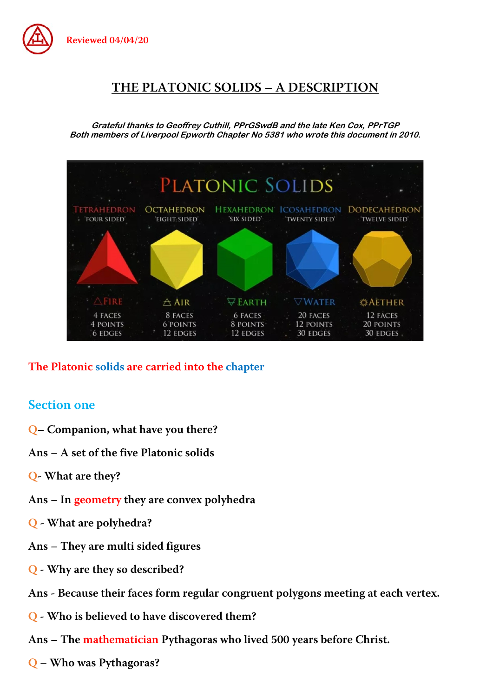

# THE PLATONIC SOLIDS – A DESCRIPTION

Grateful thanks to Geoffrey Cuthill, PPrGSwdB and the late Ken Cox, PPrTGP Both members of Liverpool Epworth Chapter No 5381 who wrote this document in 2010.



The Platonic solids are carried into the chapter

### Section one

- Q– Companion, what have you there?
- Ans A set of the five Platonic solids
- Q- What are they?
- Ans In geometry they are convex polyhedra
- Q What are polyhedra?
- Ans They are multi sided figures
- Q Why are they so described?
- Ans Because their faces form regular congruent polygons meeting at each vertex.
- Q Who is believed to have discovered them?
- Ans The mathematician Pythagoras who lived 500 years before Christ.
- Q Who was Pythagoras?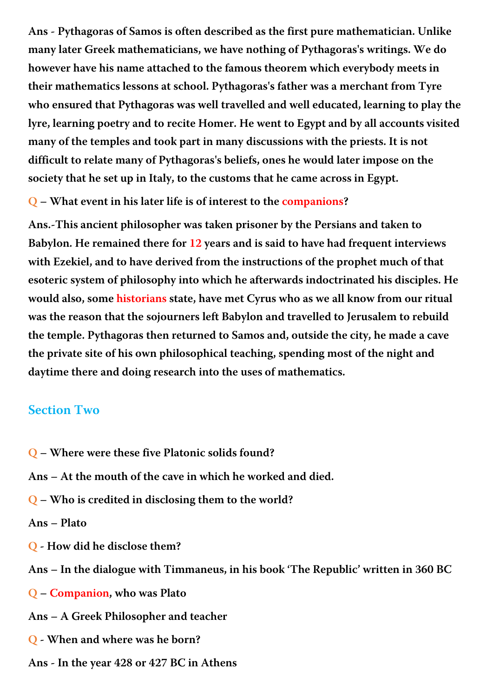Ans - Pythagoras of Samos is often described as the first pure mathematician. Unlike many later Greek mathematicians, we have nothing of Pythagoras's writings. We do however have his name attached to the famous theorem which everybody meets in their mathematics lessons at school. Pythagoras's father was a merchant from Tyre who ensured that Pythagoras was well travelled and well educated, learning to play the lyre, learning poetry and to recite Homer. He went to Egypt and by all accounts visited many of the temples and took part in many discussions with the priests. It is not difficult to relate many of Pythagoras's beliefs, ones he would later impose on the society that he set up in Italy, to the customs that he came across in Egypt.

#### Q – What event in his later life is of interest to the companions?

Ans.-This ancient philosopher was taken prisoner by the Persians and taken to Babylon. He remained there for 12 years and is said to have had frequent interviews with Ezekiel, and to have derived from the instructions of the prophet much of that esoteric system of philosophy into which he afterwards indoctrinated his disciples. He would also, some historians state, have met Cyrus who as we all know from our ritual was the reason that the sojourners left Babylon and travelled to Jerusalem to rebuild the temple. Pythagoras then returned to Samos and, outside the city, he made a cave the private site of his own philosophical teaching, spending most of the night and daytime there and doing research into the uses of mathematics.

#### Section Two

- Q Where were these five Platonic solids found?
- Ans At the mouth of the cave in which he worked and died.
- Q Who is credited in disclosing them to the world?
- Ans Plato
- Q How did he disclose them?
- Ans In the dialogue with Timmaneus, in his book 'The Republic' written in 360 BC
- Q Companion, who was Plato
- Ans A Greek Philosopher and teacher
- Q When and where was he born?
- Ans In the year 428 or 427 BC in Athens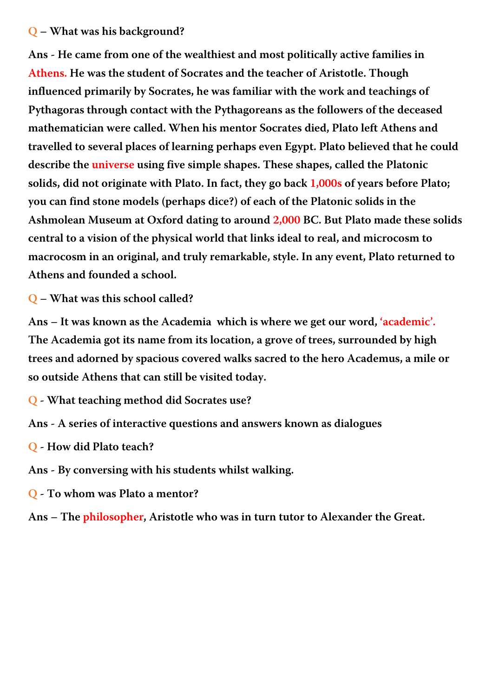### Q – What was his background?

Ans - He came from one of the wealthiest and most politically active families in Athens. He was the student of Socrates and the teacher of Aristotle. Though influenced primarily by Socrates, he was familiar with the work and teachings of Pythagoras through contact with the Pythagoreans as the followers of the deceased mathematician were called. When his mentor Socrates died, Plato left Athens and travelled to several places of learning perhaps even Egypt. Plato believed that he could describe the universe using five simple shapes. These shapes, called the Platonic solids, did not originate with Plato. In fact, they go back 1,000s of years before Plato; you can find stone models (perhaps dice?) of each of the Platonic solids in the Ashmolean Museum at Oxford dating to around 2,000 BC. But Plato made these solids central to a vision of the physical world that links ideal to real, and microcosm to macrocosm in an original, and truly remarkable, style. In any event, Plato returned to Athens and founded a school.

Q – What was this school called?

Ans – It was known as the Academia which is where we get our word, 'academic'. The Academia got its name from its location, a grove of trees, surrounded by high trees and adorned by spacious covered walks sacred to the hero Academus, a mile or so outside Athens that can still be visited today.

Q - What teaching method did Socrates use?

Ans - A series of interactive questions and answers known as dialogues

Q - How did Plato teach?

Ans - By conversing with his students whilst walking.

Q - To whom was Plato a mentor?

Ans – The *philosopher*, Aristotle who was in turn tutor to Alexander the Great.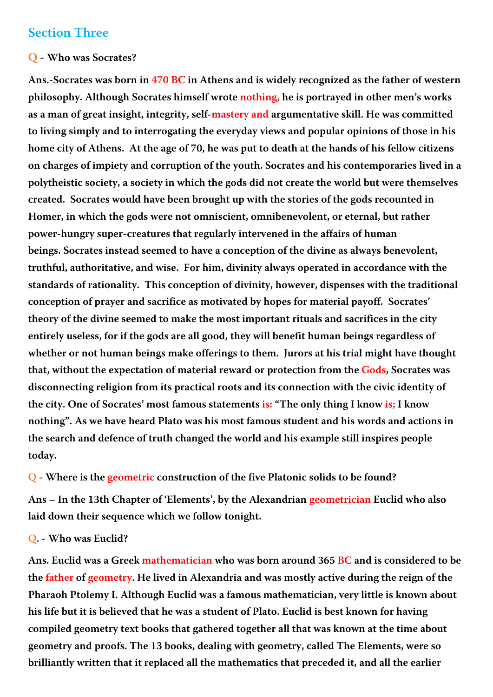### Section Three

#### Q - Who was Socrates?

Ans.-Socrates was born in 470 BC in Athens and is widely recognized as the father of western philosophy. Although Socrates himself wrote nothing, he is portrayed in other men's works as a man of great insight, integrity, self-mastery and argumentative skill. He was committed to living simply and to interrogating the everyday views and popular opinions of those in his home city of Athens. At the age of 70, he was put to death at the hands of his fellow citizens on charges of impiety and corruption of the youth. Socrates and his contemporaries lived in a polytheistic society, a society in which the gods did not create the world but were themselves created. Socrates would have been brought up with the stories of the gods recounted in Homer, in which the gods were not omniscient, omnibenevolent, or eternal, but rather power-hungry super-creatures that regularly intervened in the affairs of human beings. Socrates instead seemed to have a conception of the divine as always benevolent, truthful, authoritative, and wise. For him, divinity always operated in accordance with the standards of rationality. This conception of divinity, however, dispenses with the traditional conception of prayer and sacrifice as motivated by hopes for material payoff. Socrates' theory of the divine seemed to make the most important rituals and sacrifices in the city entirely useless, for if the gods are all good, they will benefit human beings regardless of whether or not human beings make offerings to them. Jurors at his trial might have thought that, without the expectation of material reward or protection from the Gods, Socrates was disconnecting religion from its practical roots and its connection with the civic identity of the city. One of Socrates' most famous statements is: "The only thing I know is; I know nothing". As we have heard Plato was his most famous student and his words and actions in the search and defence of truth changed the world and his example still inspires people today.

Q - Where is the geometric construction of the five Platonic solids to be found?

Ans – In the 13th Chapter of 'Elements', by the Alexandrian geometrician Euclid who also laid down their sequence which we follow tonight.

#### Q. - Who was Euclid?

Ans. Euclid was a Greek mathematician who was born around 365 BC and is considered to be the father of geometry. He lived in Alexandria and was mostly active during the reign of the Pharaoh Ptolemy I. Although Euclid was a famous mathematician, very little is known about his life but it is believed that he was a student of Plato. Euclid is best known for having compiled geometry text books that gathered together all that was known at the time about geometry and proofs. The 13 books, dealing with geometry, called The Elements, were so brilliantly written that it replaced all the mathematics that preceded it, and all the earlier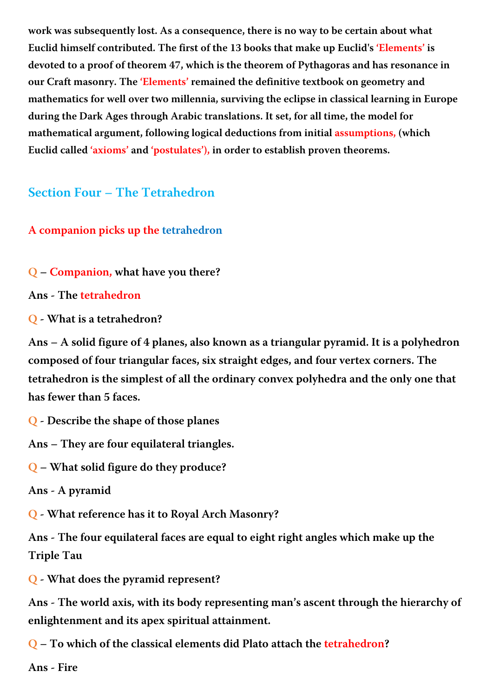work was subsequently lost. As a consequence, there is no way to be certain about what Euclid himself contributed. The first of the 13 books that make up Euclid's 'Elements' is devoted to a proof of theorem 47, which is the theorem of Pythagoras and has resonance in our Craft masonry. The 'Elements' remained the definitive textbook on geometry and mathematics for well over two millennia, surviving the eclipse in classical learning in Europe during the Dark Ages through Arabic translations. It set, for all time, the model for mathematical argument, following logical deductions from initial assumptions, (which Euclid called 'axioms' and 'postulates'), in order to establish proven theorems.

## Section Four – The Tetrahedron

### A companion picks up the tetrahedron

Q – Companion, what have you there?

#### Ans - The tetrahedron

Q - What is a tetrahedron?

Ans – A solid figure of 4 planes, also known as a triangular pyramid. It is a polyhedron composed of four triangular faces, six straight edges, and four vertex corners. The tetrahedron is the simplest of all the ordinary convex polyhedra and the only one that has fewer than 5 faces.

Q - Describe the shape of those planes

Ans – They are four equilateral triangles.

Q – What solid figure do they produce?

Ans - A pyramid

Q - What reference has it to Royal Arch Masonry?

Ans - The four equilateral faces are equal to eight right angles which make up the Triple Tau

Q - What does the pyramid represent?

Ans - The world axis, with its body representing man's ascent through the hierarchy of enlightenment and its apex spiritual attainment.

Q – To which of the classical elements did Plato attach the tetrahedron?

Ans - Fire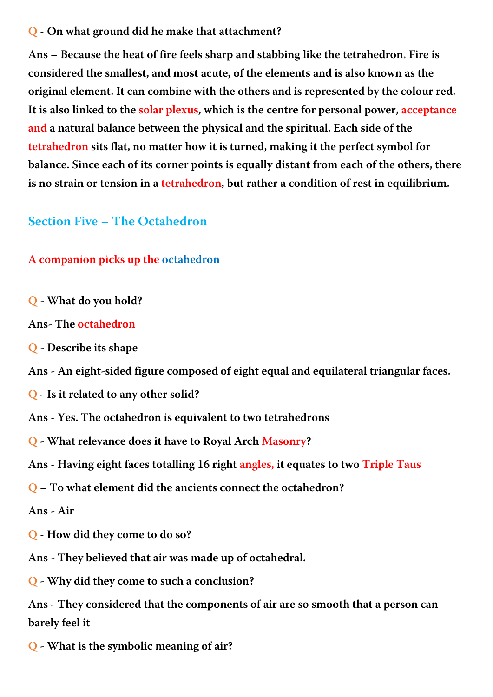### Q - On what ground did he make that attachment?

Ans – Because the heat of fire feels sharp and stabbing like the tetrahedron. Fire is considered the smallest, and most acute, of the elements and is also known as the original element. It can combine with the others and is represented by the colour red. It is also linked to the solar plexus, which is the centre for personal power, acceptance and a natural balance between the physical and the spiritual. Each side of the tetrahedron sits flat, no matter how it is turned, making it the perfect symbol for balance. Since each of its corner points is equally distant from each of the others, there is no strain or tension in a tetrahedron, but rather a condition of rest in equilibrium.

## Section Five – The Octahedron

### A companion picks up the octahedron

- Q What do you hold?
- Ans- The octahedron
- Q Describe its shape
- Ans An eight-sided figure composed of eight equal and equilateral triangular faces.
- Q Is it related to any other solid?
- Ans Yes. The octahedron is equivalent to two tetrahedrons
- Q What relevance does it have to Royal Arch Masonry?
- Ans Having eight faces totalling 16 right angles, it equates to two Triple Taus
- Q To what element did the ancients connect the octahedron?

Ans - Air

- Q How did they come to do so?
- Ans They believed that air was made up of octahedral.
- Q Why did they come to such a conclusion?

Ans - They considered that the components of air are so smooth that a person can barely feel it

Q - What is the symbolic meaning of air?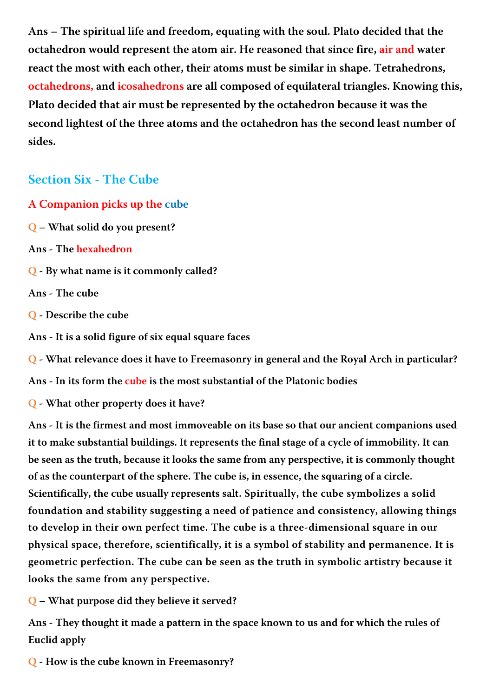Ans – The spiritual life and freedom, equating with the soul. Plato decided that the octahedron would represent the atom air. He reasoned that since fire, air and water react the most with each other, their atoms must be similar in shape. Tetrahedrons, octahedrons, and icosahedrons are all composed of equilateral triangles. Knowing this, Plato decided that air must be represented by the octahedron because it was the second lightest of the three atoms and the octahedron has the second least number of sides.

### Section Six - The Cube

#### A Companion picks up the cube

Q – What solid do you present?

Ans - The hexahedron

Q - By what name is it commonly called?

Ans - The cube

Q - Describe the cube

Ans - It is a solid figure of six equal square faces

Q - What relevance does it have to Freemasonry in general and the Royal Arch in particular?

Ans - In its form the cube is the most substantial of the Platonic bodies

Q - What other property does it have?

Ans - It is the firmest and most immoveable on its base so that our ancient companions used it to make substantial buildings. It represents the final stage of a cycle of immobility. It can be seen as the truth, because it looks the same from any perspective, it is commonly thought of as the counterpart of the sphere. The cube is, in essence, the squaring of a circle. Scientifically, the cube usually represents salt. Spiritually, the cube symbolizes a solid foundation and stability suggesting a need of patience and consistency, allowing things to develop in their own perfect time. The cube is a three-dimensional square in our physical space, therefore, scientifically, it is a symbol of stability and permanence. It is geometric perfection. The cube can be seen as the truth in symbolic artistry because it looks the same from any perspective.

Q – What purpose did they believe it served?

Ans - They thought it made a pattern in the space known to us and for which the rules of Euclid apply

Q - How is the cube known in Freemasonry?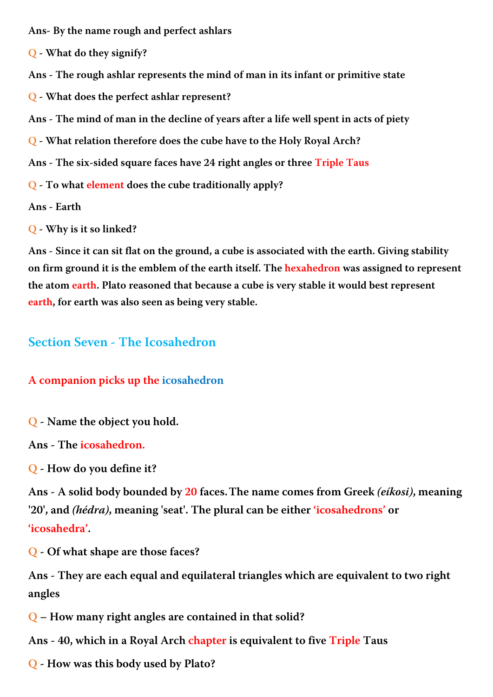Ans- By the name rough and perfect ashlars

Q - What do they signify?

Ans - The rough ashlar represents the mind of man in its infant or primitive state

Q - What does the perfect ashlar represent?

Ans - The mind of man in the decline of years after a life well spent in acts of piety

Q - What relation therefore does the cube have to the Holy Royal Arch?

Ans - The six-sided square faces have 24 right angles or three Triple Taus

Q - To what element does the cube traditionally apply?

Ans - Earth

Q - Why is it so linked?

Ans - Since it can sit flat on the ground, a cube is associated with the earth. Giving stability on firm ground it is the emblem of the earth itself. The hexahedron was assigned to represent the atom earth. Plato reasoned that because a cube is very stable it would best represent earth, for earth was also seen as being very stable.

### Section Seven - The Icosahedron

### A companion picks up the icosahedron

Q - Name the object you hold.

Ans - The icosahedron.

Q - How do you define it?

Ans - A solid body bounded by 20 faces. The name comes from Greek (*eikosi*), meaning '20', and (hédra), meaning 'seat'. The plural can be either 'icosahedrons' or 'icosahedra'.

Q - Of what shape are those faces?

Ans - They are each equal and equilateral triangles which are equivalent to two right angles

Q – How many right angles are contained in that solid?

Ans - 40, which in a Royal Arch chapter is equivalent to five Triple Taus

Q - How was this body used by Plato?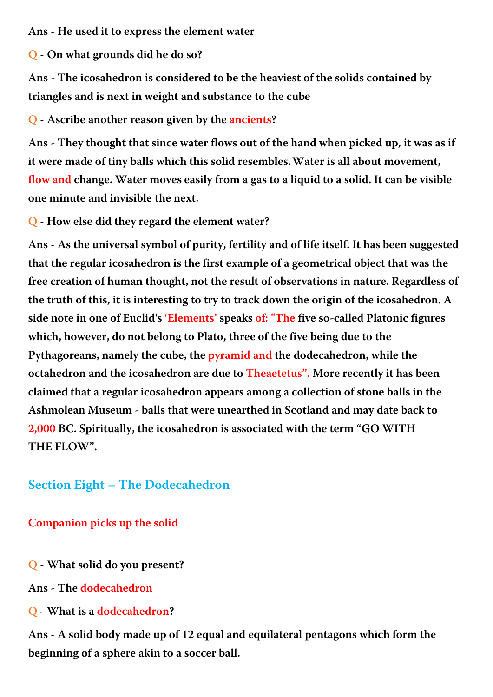Ans - He used it to express the element water

Q - On what grounds did he do so?

Ans - The icosahedron is considered to be the heaviest of the solids contained by triangles and is next in weight and substance to the cube

### Q - Ascribe another reason given by the ancients?

Ans - They thought that since water flows out of the hand when picked up, it was as if it were made of tiny balls which this solid resembles.Water is all about movement, flow and change. Water moves easily from a gas to a liquid to a solid. It can be visible one minute and invisible the next.

Q - How else did they regard the element water?

Ans - As the universal symbol of purity, fertility and of life itself. It has been suggested that the regular icosahedron is the first example of a geometrical object that was the free creation of human thought, not the result of observations in nature. Regardless of the truth of this, it is interesting to try to track down the origin of the icosahedron. A side note in one of Euclid's 'Elements' speaks of: "The five so-called Platonic figures which, however, do not belong to Plato, three of the five being due to the Pythagoreans, namely the cube, the pyramid and the dodecahedron, while the octahedron and the icosahedron are due to Theaetetus". More recently it has been claimed that a regular icosahedron appears among a collection of stone balls in the Ashmolean Museum - balls that were unearthed in Scotland and may date back to 2,000 BC. Spiritually, the icosahedron is associated with the term "GO WITH THE FLOW".

# Section Eight – The Dodecahedron

Companion picks up the solid

- Q What solid do you present?
- Ans The dodecahedron
- Q What is a dodecahedron?

Ans - A solid body made up of 12 equal and equilateral pentagons which form the beginning of a sphere akin to a soccer ball.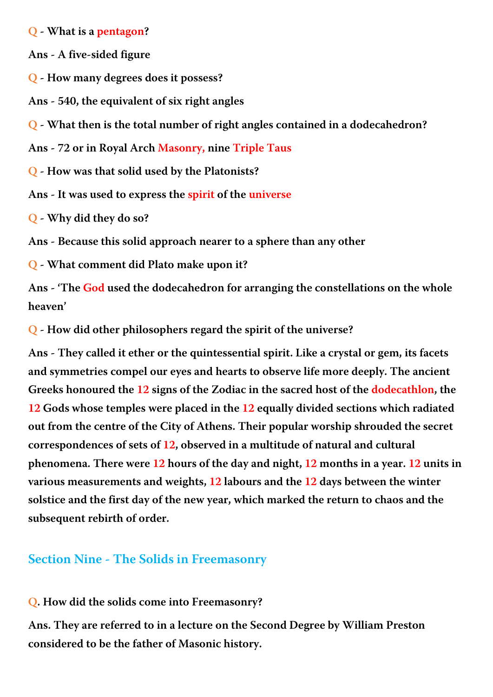Q - What is a pentagon?

Ans - A five-sided figure

Q - How many degrees does it possess?

Ans - 540, the equivalent of six right angles

Q - What then is the total number of right angles contained in a dodecahedron?

Ans - 72 or in Royal Arch Masonry, nine Triple Taus

Q - How was that solid used by the Platonists?

Ans - It was used to express the spirit of the universe

Q - Why did they do so?

Ans - Because this solid approach nearer to a sphere than any other

Q - What comment did Plato make upon it?

Ans - 'The God used the dodecahedron for arranging the constellations on the whole heaven'

Q - How did other philosophers regard the spirit of the universe?

Ans - They called it ether or the quintessential spirit. Like a crystal or gem, its facets and symmetries compel our eyes and hearts to observe life more deeply. The ancient Greeks honoured the 12 signs of the Zodiac in the sacred host of the dodecathlon, the 12 Gods whose temples were placed in the 12 equally divided sections which radiated out from the centre of the City of Athens. Their popular worship shrouded the secret correspondences of sets of 12, observed in a multitude of natural and cultural phenomena. There were 12 hours of the day and night, 12 months in a year. 12 units in various measurements and weights, 12 labours and the 12 days between the winter solstice and the first day of the new year, which marked the return to chaos and the subsequent rebirth of order.

### Section Nine - The Solids in Freemasonry

Q. How did the solids come into Freemasonry?

Ans. They are referred to in a lecture on the Second Degree by William Preston considered to be the father of Masonic history.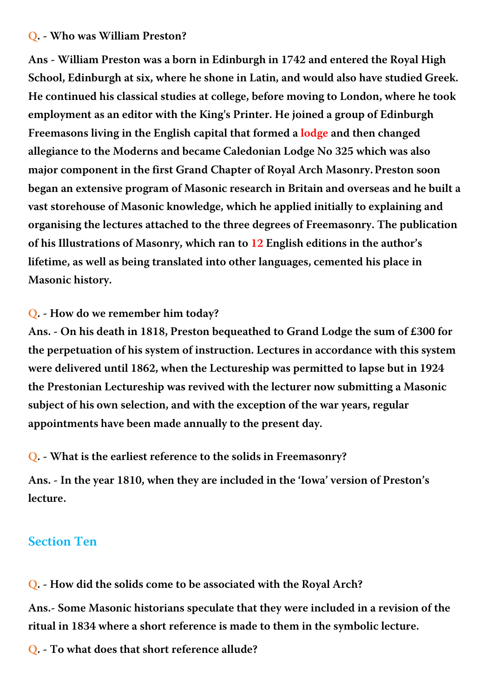#### Q. - Who was William Preston?

Ans - William Preston was a born in Edinburgh in 1742 and entered the Royal High School, Edinburgh at six, where he shone in Latin, and would also have studied Greek. He continued his classical studies at college, before moving to London, where he took employment as an editor with the King's Printer. He joined a group of Edinburgh Freemasons living in the English capital that formed a lodge and then changed allegiance to the Moderns and became Caledonian Lodge No 325 which was also major component in the first Grand Chapter of Royal Arch Masonry.Preston soon began an extensive program of Masonic research in Britain and overseas and he built a vast storehouse of Masonic knowledge, which he applied initially to explaining and organising the lectures attached to the three degrees of Freemasonry. The publication of his Illustrations of Masonry, which ran to 12 English editions in the author's lifetime, as well as being translated into other languages, cemented his place in Masonic history.

#### Q. - How do we remember him today?

Ans. - On his death in 1818, Preston bequeathed to Grand Lodge the sum of £300 for the perpetuation of his system of instruction. Lectures in accordance with this system were delivered until 1862, when the Lectureship was permitted to lapse but in 1924 the Prestonian Lectureship was revived with the lecturer now submitting a Masonic subject of his own selection, and with the exception of the war years, regular appointments have been made annually to the present day.

Q. - What is the earliest reference to the solids in Freemasonry?

Ans. - In the year 1810, when they are included in the 'Iowa' version of Preston's lecture.

### Section Ten

Q. - How did the solids come to be associated with the Royal Arch?

Ans.- Some Masonic historians speculate that they were included in a revision of the ritual in 1834 where a short reference is made to them in the symbolic lecture.

Q. - To what does that short reference allude?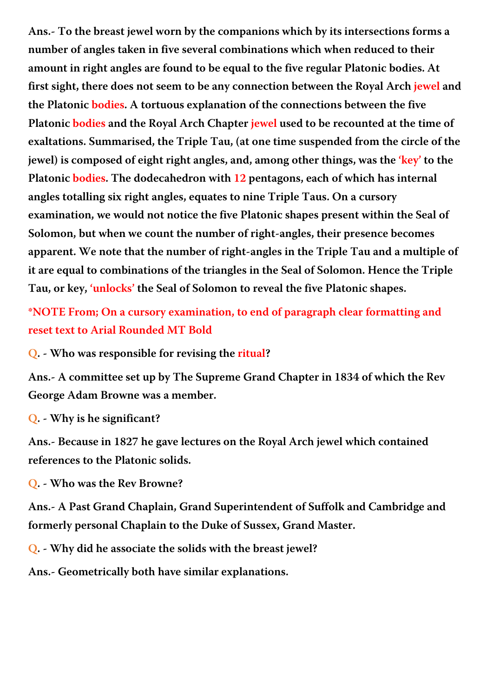Ans.- To the breast jewel worn by the companions which by its intersections forms a number of angles taken in five several combinations which when reduced to their amount in right angles are found to be equal to the five regular Platonic bodies. At first sight, there does not seem to be any connection between the Royal Arch jewel and the Platonic bodies. A tortuous explanation of the connections between the five Platonic bodies and the Royal Arch Chapter jewel used to be recounted at the time of exaltations. Summarised, the Triple Tau, (at one time suspended from the circle of the jewel) is composed of eight right angles, and, among other things, was the 'key' to the Platonic bodies. The dodecahedron with 12 pentagons, each of which has internal angles totalling six right angles, equates to nine Triple Taus. On a cursory examination, we would not notice the five Platonic shapes present within the Seal of Solomon, but when we count the number of right-angles, their presence becomes apparent. We note that the number of right-angles in the Triple Tau and a multiple of it are equal to combinations of the triangles in the Seal of Solomon. Hence the Triple Tau, or key, 'unlocks' the Seal of Solomon to reveal the five Platonic shapes.

\*NOTE From; On a cursory examination, to end of paragraph clear formatting and reset text to Arial Rounded MT Bold

Q. - Who was responsible for revising the ritual?

Ans.- A committee set up by The Supreme Grand Chapter in 1834 of which the Rev George Adam Browne was a member.

Q. - Why is he significant?

Ans.- Because in 1827 he gave lectures on the Royal Arch jewel which contained references to the Platonic solids.

Q. - Who was the Rev Browne?

Ans.- A Past Grand Chaplain, Grand Superintendent of Suffolk and Cambridge and formerly personal Chaplain to the Duke of Sussex, Grand Master.

Q. - Why did he associate the solids with the breast jewel?

Ans.- Geometrically both have similar explanations.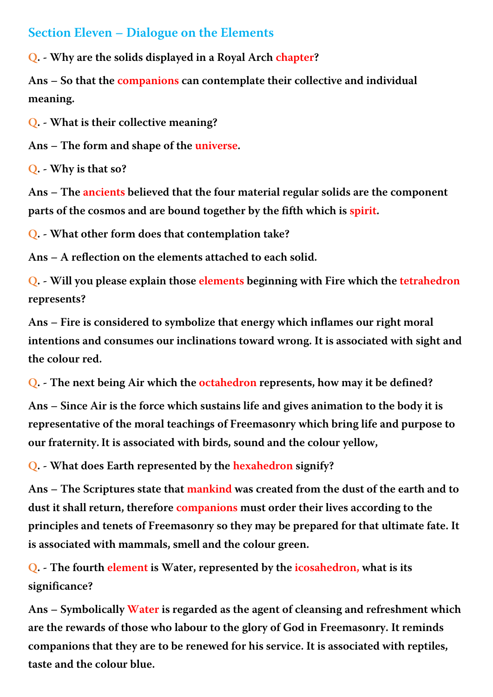### Section Eleven – Dialogue on the Elements

Q. - Why are the solids displayed in a Royal Arch chapter?

Ans – So that the companions can contemplate their collective and individual meaning.

Q. - What is their collective meaning?

Ans – The form and shape of the *universe*.

Q. - Why is that so?

Ans – The ancients believed that the four material regular solids are the component parts of the cosmos and are bound together by the fifth which is spirit.

Q. - What other form does that contemplation take?

Ans – A reflection on the elements attached to each solid.

Q. - Will you please explain those elements beginning with Fire which the tetrahedron represents?

Ans – Fire is considered to symbolize that energy which inflames our right moral intentions and consumes our inclinations toward wrong. It is associated with sight and the colour red.

Q. - The next being Air which the octahedron represents, how may it be defined?

Ans – Since Air is the force which sustains life and gives animation to the body it is representative of the moral teachings of Freemasonry which bring life and purpose to our fraternity.It is associated with birds, sound and the colour yellow,

Q. - What does Earth represented by the hexahedron signify?

Ans - The Scriptures state that mankind was created from the dust of the earth and to dust it shall return, therefore companions must order their lives according to the principles and tenets of Freemasonry so they may be prepared for that ultimate fate. It is associated with mammals, smell and the colour green.

Q. - The fourth element is Water, represented by the icosahedron, what is its significance?

Ans – Symbolically Water is regarded as the agent of cleansing and refreshment which are the rewards of those who labour to the glory of God in Freemasonry. It reminds companions that they are to be renewed for his service. It is associated with reptiles, taste and the colour blue.